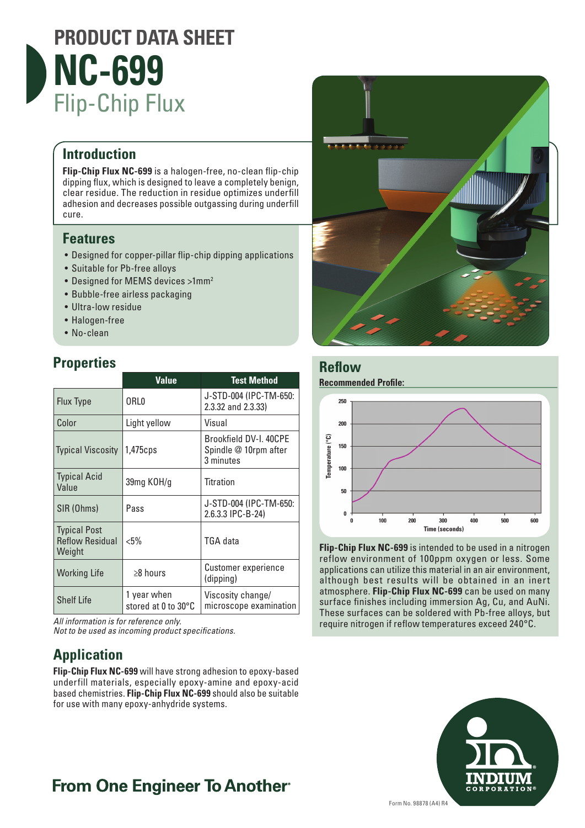

#### **Introduction**

**Flip-Chip Flux NC-699** is a halogen-free, no-clean flip-chip dipping flux, which is designed to leave a completely benign, clear residue. The reduction in residue optimizes underfill adhesion and decreases possible outgassing during underfill cure.

#### **Features**

- Designed for copper-pillar flip-chip dipping applications
- Suitable for Pb-free alloys
- Designed for MEMS devices >1mm<sup>2</sup>
- Bubble-free airless packaging
- Ultra-low residue
- Halogen-free
- No-clean

#### **Properties**

|                                                         | <b>Value</b>                       | <b>Test Method</b>                                           |
|---------------------------------------------------------|------------------------------------|--------------------------------------------------------------|
| <b>Flux Type</b>                                        | 0RL0                               | J-STD-004 (IPC-TM-650:<br>2.3.32 and 2.3.33)                 |
| Color                                                   | Light yellow                       | Visual                                                       |
| <b>Typical Viscosity</b>                                | $1,475$ cps                        | Brookfield DV-I. 40CPE<br>Spindle @ 10rpm after<br>3 minutes |
| <b>Typical Acid</b><br>Value                            | 39mg KOH/g                         | Titration                                                    |
| SIR (Ohms)                                              | Pass                               | J-STD-004 (IPC-TM-650:<br>2.6.3.3 IPC-B-24)                  |
| <b>Typical Post</b><br><b>Reflow Residual</b><br>Weight | $< 5\%$                            | <b>TGA</b> data                                              |
| <b>Working Life</b>                                     | ≥8 hours                           | Customer experience<br>(dipping)                             |
| <b>Shelf Life</b>                                       | 1 year when<br>stored at 0 to 30°C | Viscosity change/<br>microscope examination                  |

*All information is for reference only.* 

*Not to be used as incoming product specifications.*

## **Application**

**Flip-Chip Flux NC-699** will have strong adhesion to epoxy-based underfill materials, especially epoxy-amine and epoxy-acid based chemistries. **Flip-Chip Flux NC-699** should also be suitable for use with many epoxy-anhydride systems.



#### **Reflow**

**Recommended Profile:**



**Flip-Chip Flux NC-699** is intended to be used in a nitrogen reflow environment of 100ppm oxygen or less. Some applications can utilize this material in an air environment, although best results will be obtained in an inert atmosphere. **Flip-Chip Flux NC-699** can be used on many surface finishes including immersion Ag, Cu, and AuNi. These surfaces can be soldered with Pb-free alloys, but require nitrogen if reflow temperatures exceed 240°C.



## **From One Engineer To Another**®